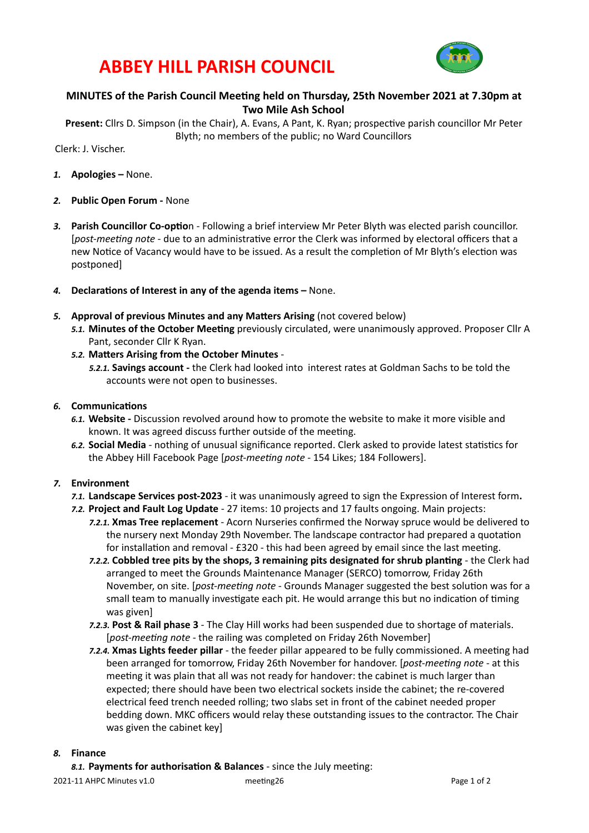## **ABBEY HILL PARISH COUNCIL**



### **MINUTES of the Parish Council Meeting held on Thursday, 25th November 2021 at 7.30pm at Two Mile Ash School**

Present: Cllrs D. Simpson (in the Chair), A. Evans, A Pant, K. Ryan; prospective parish councillor Mr Peter Blyth; no members of the public; no Ward Councillors

Clerk: J. Vischer. 

- 1. **Apologies** None.
- 2. **Public Open Forum** None
- 3. Parish Councillor Co-option Following a brief interview Mr Peter Blyth was elected parish councillor. [post-meeting note - due to an administrative error the Clerk was informed by electoral officers that a new Notice of Vacancy would have to be issued. As a result the completion of Mr Blyth's election was postponed]
- 4. **Declarations of Interest in any of the agenda items None.**
- **5. Approval of previous Minutes and any Matters Arising** (not covered below) 5.1. Minutes of the October Meeting previously circulated, were unanimously approved. Proposer Cllr A Pant, seconder Cllr K Ryan.
	- 5.2. Matters Arising from the October Minutes -
		- 5.2.1. Savings account the Clerk had looked into interest rates at Goldman Sachs to be told the accounts were not open to businesses.

### 6. **Communications**

- 6.1. Website Discussion revolved around how to promote the website to make it more visible and known. It was agreed discuss further outside of the meeting.
- 6.2. Social Media nothing of unusual significance reported. Clerk asked to provide latest statistics for the Abbey Hill Facebook Page [post-meeting note - 154 Likes; 184 Followers].

### 7. **Environment**

- **7.1. Landscape Services post-2023** it was unanimously agreed to sign the Expression of Interest form.
- **7.2. Project and Fault Log Update** 27 items: 10 projects and 17 faults ongoing. Main projects:
	- **7.2.1. Xmas Tree replacement** Acorn Nurseries confirmed the Norway spruce would be delivered to the nursery next Monday 29th November. The landscape contractor had prepared a quotation for installation and removal -  $£320$  - this had been agreed by email since the last meeting.
	- *7.2.2.* **Cobbled tree pits by the shops, 3 remaining pits designated for shrub planting the Clerk had** arranged to meet the Grounds Maintenance Manager (SERCO) tomorrow, Friday 26th November, on site. [*post-meeting note* - Grounds Manager suggested the best solution was for a small team to manually investigate each pit. He would arrange this but no indication of timing was given]
	- **7.2.3. Post & Rail phase 3** The Clay Hill works had been suspended due to shortage of materials. [post-meeting note - the railing was completed on Friday 26th November]
	- 7.2.4. **Xmas Lights feeder pillar** the feeder pillar appeared to be fully commissioned. A meeting had been arranged for tomorrow, Friday 26th November for handover. [*post-meeting note* - at this meeting it was plain that all was not ready for handover: the cabinet is much larger than expected; there should have been two electrical sockets inside the cabinet; the re-covered electrical feed trench needed rolling; two slabs set in front of the cabinet needed proper bedding down. MKC officers would relay these outstanding issues to the contractor. The Chair was given the cabinet key]

### 8. **Finance**

8.1. Payments for authorisation & Balances - since the July meeting: